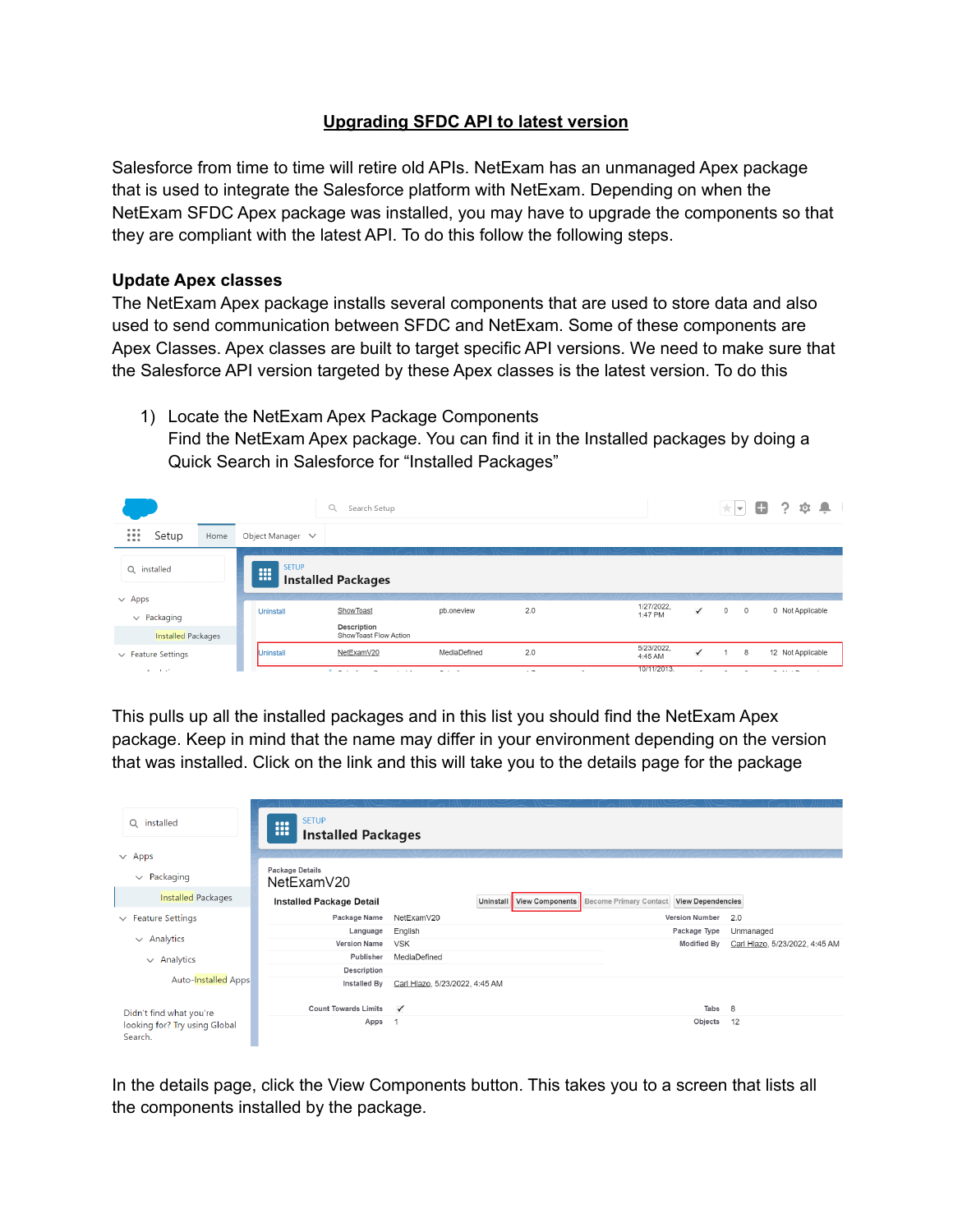## **Upgrading SFDC API to latest version**

Salesforce from time to time will retire old APIs. NetExam has an unmanaged Apex package that is used to integrate the Salesforce platform with NetExam. Depending on when the NetExam SFDC Apex package was installed, you may have to upgrade the components so that they are compliant with the latest API. To do this follow the following steps.

## **Update Apex classes**

The NetExam Apex package installs several components that are used to store data and also used to send communication between SFDC and NetExam. Some of these components are Apex Classes. Apex classes are built to target specific API versions. We need to make sure that the Salesforce API version targeted by these Apex classes is the latest version. To do this

1) Locate the NetExam Apex Package Components Find the NetExam Apex package. You can find it in the Installed packages by doing a Quick Search in Salesforce for "Installed Packages"



This pulls up all the installed packages and in this list you should find the NetExam Apex package. Keep in mind that the name may differ in your environment depending on the version that was installed. Click on the link and this will take you to the details page for the package

| Q installed                              | <b>SETUP</b><br>$\bullet\bullet\bullet$<br>ш<br><b>Installed Packages</b> |                                |                           |                               |                          |                                |
|------------------------------------------|---------------------------------------------------------------------------|--------------------------------|---------------------------|-------------------------------|--------------------------|--------------------------------|
| $\vee$ Apps<br>$\vee$ Packaging          | Package Details<br>NetExamV20                                             |                                |                           |                               |                          |                                |
| <b>Installed Packages</b>                | <b>Installed Package Detail</b>                                           |                                | Uninstall View Components | <b>Become Primary Contact</b> | <b>View Dependencies</b> |                                |
| $\vee$ Feature Settings                  | Package Name                                                              | NetExamV20                     |                           |                               | <b>Version Number</b>    | 2.0                            |
|                                          | Language                                                                  | English                        |                           |                               | Package Type             | Unmanaged                      |
| $\vee$ Analytics                         | <b>Version Name</b>                                                       | <b>VSK</b>                     |                           |                               | <b>Modified By</b>       | Carl Hlazo, 5/23/2022, 4:45 AM |
| $\vee$ Analytics                         | Publisher                                                                 | MediaDefined                   |                           |                               |                          |                                |
|                                          | Description                                                               |                                |                           |                               |                          |                                |
| <b>Auto-Installed Apps</b>               | Installed By                                                              | Carl Hlazo, 5/23/2022, 4:45 AM |                           |                               |                          |                                |
| Didn't find what you're                  | <b>Count Towards Limits</b>                                               | $\checkmark$                   |                           |                               | Tabs                     | 8                              |
| looking for? Try using Global<br>Search. | Apps                                                                      |                                |                           |                               | Objects                  | 12                             |

In the details page, click the View Components button. This takes you to a screen that lists all the components installed by the package.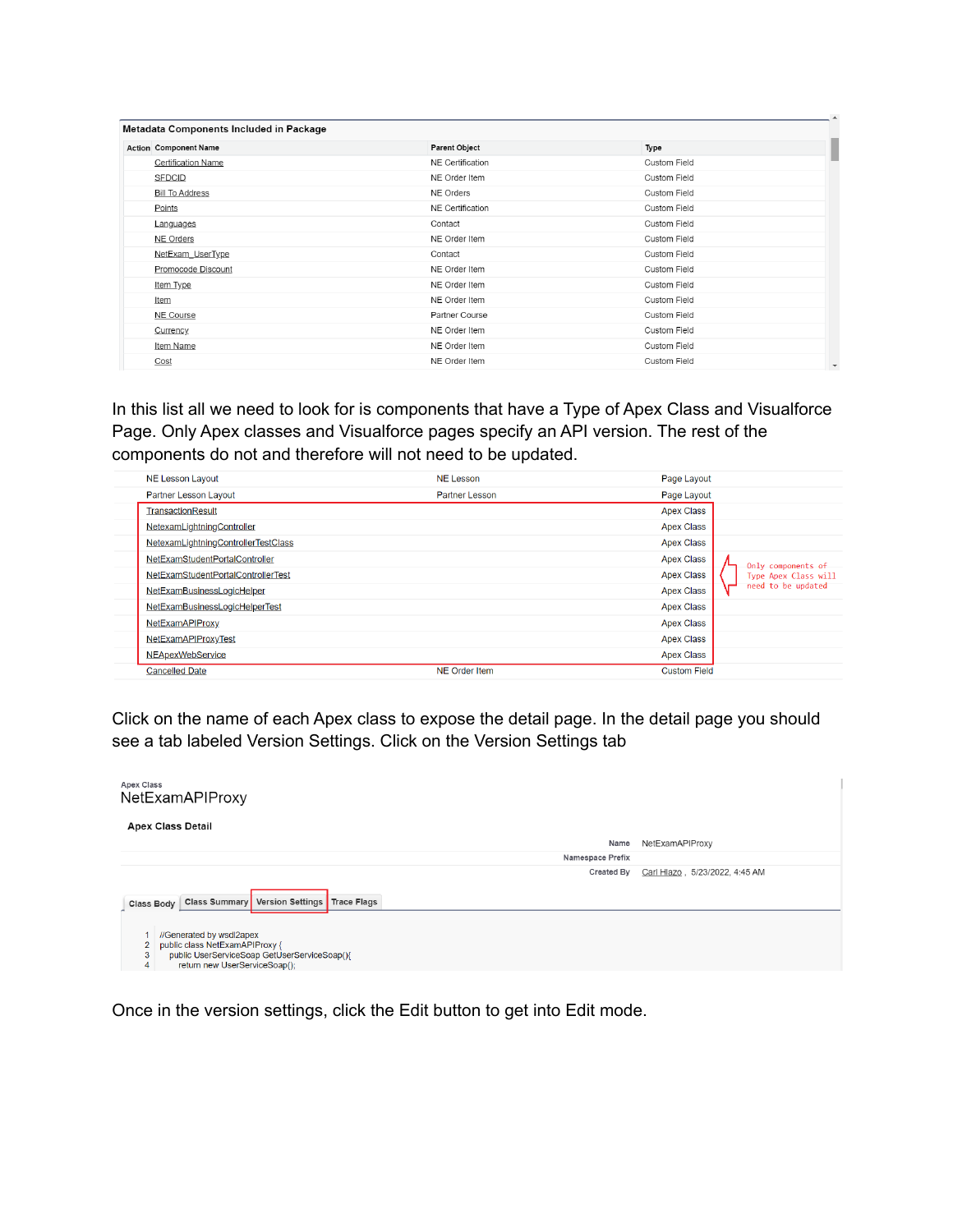| Metadata Components Included in Package |                         |                     |
|-----------------------------------------|-------------------------|---------------------|
| <b>Action Component Name</b>            | Parent Object           | Type                |
| <b>Certification Name</b>               | <b>NE</b> Certification | <b>Custom Field</b> |
| <b>SFDCID</b>                           | NE Order Item           | <b>Custom Field</b> |
| <b>Bill To Address</b>                  | NE Orders               | <b>Custom Field</b> |
| Points                                  | NE Certification        | <b>Custom Field</b> |
| Languages                               | Contact                 | <b>Custom Field</b> |
| <b>NE Orders</b>                        | NE Order Item           | <b>Custom Field</b> |
| NetExam UserType                        | Contact                 | <b>Custom Field</b> |
| Promocode Discount                      | NE Order Item           | Custom Field        |
| Item Type                               | NE Order Item           | Custom Field        |
| Item                                    | NE Order Item           | <b>Custom Field</b> |
| NE Course                               | Partner Course          | <b>Custom Field</b> |
| Currency                                | NE Order Item           | <b>Custom Field</b> |
| Item Name                               | NE Order Item           | <b>Custom Field</b> |
| Cost                                    | NE Order Item           | <b>Custom Field</b> |
|                                         |                         |                     |

In this list all we need to look for is components that have a Type of Apex Class and Visualforce Page. Only Apex classes and Visualforce pages specify an API version. The rest of the components do not and therefore will not need to be updated.

| <b>NE Lesson Layout</b>             | <b>NE Lesson</b>      | Page Layout                               |
|-------------------------------------|-----------------------|-------------------------------------------|
| <b>Partner Lesson Layout</b>        | <b>Partner Lesson</b> | Page Layout                               |
| TransactionResult                   |                       | <b>Apex Class</b>                         |
| NetexamLightningController          |                       | <b>Apex Class</b>                         |
| NetexamLightningControllerTestClass |                       | <b>Apex Class</b>                         |
| NetExamStudentPortalController      |                       | <b>Apex Class</b><br>Only components of   |
| NetExamStudentPortalControllerTest  |                       | <b>Apex Class</b><br>Type Apex Class will |
| NetExamBusinessLogicHelper          |                       | need to be updated<br><b>Apex Class</b>   |
| NetExamBusinessLogicHelperTest      |                       | <b>Apex Class</b>                         |
| <b>NetExamAPIProxy</b>              |                       | <b>Apex Class</b>                         |
| NetExamAPIProxyTest                 |                       | <b>Apex Class</b>                         |
| <b>NEApexWebService</b>             |                       | <b>Apex Class</b>                         |
| <b>Cancelled Date</b>               | <b>NE Order Item</b>  | <b>Custom Field</b>                       |

Click on the name of each Apex class to expose the detail page. In the detail page you should see a tab labeled Version Settings. Click on the Version Settings tab

| <b>Apex Class</b><br>NetExamAPIProxy                                                                                                                                    |                   |                                |
|-------------------------------------------------------------------------------------------------------------------------------------------------------------------------|-------------------|--------------------------------|
| <b>Apex Class Detail</b>                                                                                                                                                |                   |                                |
|                                                                                                                                                                         | Name              | NetExamAPIProxy                |
| Namespace Prefix                                                                                                                                                        |                   |                                |
|                                                                                                                                                                         | <b>Created By</b> | Carl Hlazo, 5/23/2022, 4:45 AM |
| Class Summary Version Settings Trace Flags<br>Class Body                                                                                                                |                   |                                |
| //Generated by wsdl2apex<br>public class NetExamAPIProxy {<br>$\overline{2}$<br>public UserServiceSoap GetUserServiceSoap(){<br>3<br>return new UserServiceSoap();<br>4 |                   |                                |

Once in the version settings, click the Edit button to get into Edit mode.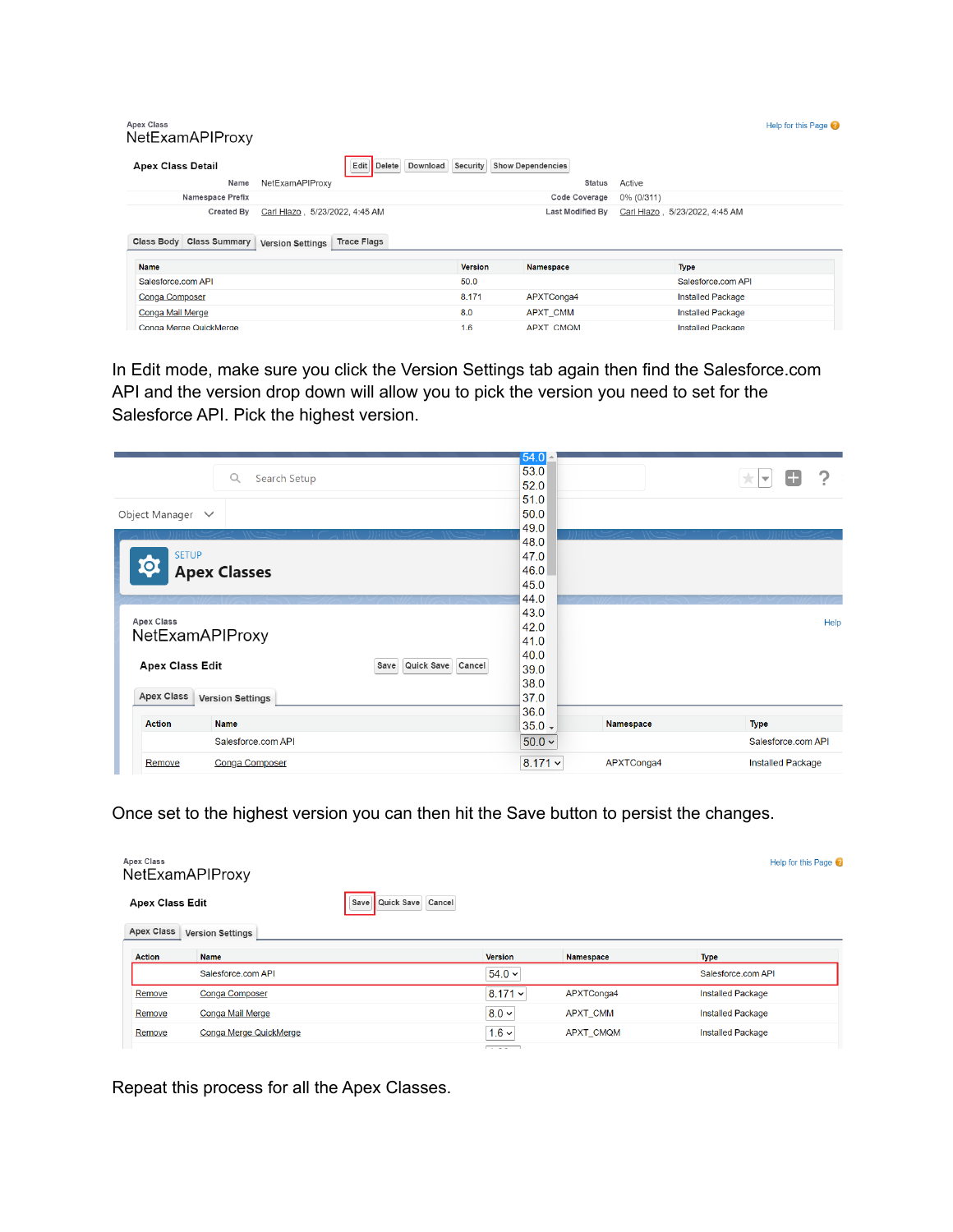| <b>Apex Class</b><br>NetExamAPIProxy   |                                                                                  |                |                          |            |                                 | Help for this Page |
|----------------------------------------|----------------------------------------------------------------------------------|----------------|--------------------------|------------|---------------------------------|--------------------|
| <b>Apex Class Detail</b>               | Download<br>Edit<br>Delete                                                       | Security       | <b>Show Dependencies</b> |            |                                 |                    |
| Name                                   | NetExamAPIProxy                                                                  |                | <b>Status</b>            | Active     |                                 |                    |
| Namespace Prefix                       |                                                                                  |                | Code Coverage            | 0% (0/311) |                                 |                    |
| Created By<br>Class Body Class Summary | Carl Hlazo . 5/23/2022. 4:45 AM<br><b>Trace Flags</b><br><b>Version Settings</b> |                | Last Modified By         |            | Carl Hlazo , 5/23/2022, 4:45 AM |                    |
| <b>Name</b>                            |                                                                                  | <b>Version</b> | <b>Namespace</b>         |            | <b>Type</b>                     |                    |
| Salesforce.com API                     |                                                                                  | 50.0           |                          |            | Salesforce.com API              |                    |
| <b>Conga Composer</b>                  |                                                                                  | 8.171          | APXTConga4               |            | <b>Installed Package</b>        |                    |
|                                        |                                                                                  |                |                          |            |                                 |                    |
| Conga Mail Merge                       |                                                                                  | 8.0            | <b>APXT CMM</b>          |            | <b>Installed Package</b>        |                    |

In Edit mode, make sure you click the Version Settings tab again then find the Salesforce.com API and the version drop down will allow you to pick the version you need to set for the Salesforce API. Pick the highest version.

| Q<br>Search Setup                                   | 54.0<br>53.0  |            |                              |
|-----------------------------------------------------|---------------|------------|------------------------------|
|                                                     | 52.0          |            | $\overline{\mathbf{v}}$<br>大 |
|                                                     | 51.0          |            |                              |
| Object Manager $\vee$                               | 50.0          |            |                              |
|                                                     | 49.0          |            |                              |
|                                                     | 48.0          |            |                              |
| <b>SETUP</b><br>10                                  | 47.0          |            |                              |
| <b>Apex Classes</b>                                 | 46.0          |            |                              |
|                                                     | 45.0<br>44.0  |            |                              |
|                                                     | 43.0          |            |                              |
| <b>Apex Class</b>                                   | 42.0          |            | Help                         |
| NetExamAPIProxy                                     | 41.0          |            |                              |
|                                                     | 40.0          |            |                              |
| <b>Apex Class Edit</b><br>Quick Save Cancel<br>Save | 39.0          |            |                              |
|                                                     | 38.0          |            |                              |
| <b>Apex Class</b><br><b>Version Settings</b>        | 37.0          |            |                              |
|                                                     | 36.0          |            |                              |
| <b>Name</b><br><b>Action</b>                        | $35.0 -$      | Namespace  | <b>Type</b>                  |
| Salesforce.com API                                  | $50.0 \times$ |            | Salesforce.com API           |
| Conga Composer<br>Remove                            | $8.171 -$     | APXTConga4 | <b>Installed Package</b>     |

Once set to the highest version you can then hit the Save button to persist the changes.

| <b>Apex Class</b>      | NetExamAPIProxy         |                           |                   |                  | Help for this Page       |
|------------------------|-------------------------|---------------------------|-------------------|------------------|--------------------------|
| <b>Apex Class Edit</b> |                         | Quick Save Cancel<br>Save |                   |                  |                          |
| <b>Apex Class</b>      | <b>Version Settings</b> |                           |                   |                  |                          |
| <b>Action</b>          | <b>Name</b>             |                           | Version           | Namespace        | <b>Type</b>              |
|                        | Salesforce.com API      |                           | $54.0 \times$     |                  | Salesforce.com API       |
| Remove                 | <b>Conga Composer</b>   |                           | $8.171 \times$    | APXTConga4       | <b>Installed Package</b> |
| Remove                 | Conga Mail Merge        |                           | $8.0 \times$      | <b>APXT CMM</b>  | <b>Installed Package</b> |
| Remove                 | Conga Merge QuickMerge  |                           | $1.6 \times$      | <b>APXT CMQM</b> | <b>Installed Package</b> |
|                        |                         |                           | <b>Carl Adams</b> |                  |                          |

Repeat this process for all the Apex Classes.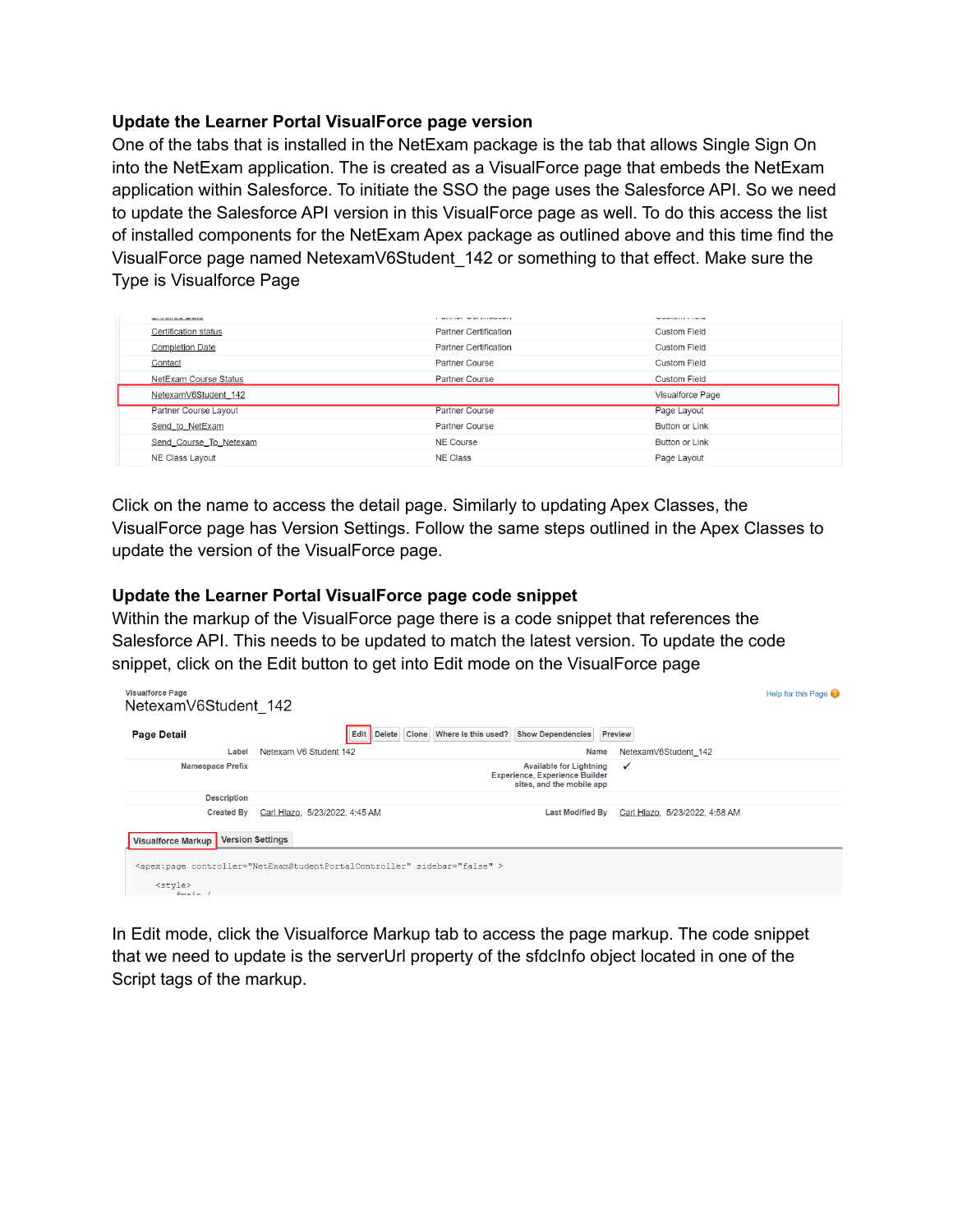## **Update the Learner Portal VisualForce page version**

One of the tabs that is installed in the NetExam package is the tab that allows Single Sign On into the NetExam application. The is created as a VisualForce page that embeds the NetExam application within Salesforce. To initiate the SSO the page uses the Salesforce API. So we need to update the Salesforce API version in this VisualForce page as well. To do this access the list of installed components for the NetExam Apex package as outlined above and this time find the VisualForce page named NetexamV6Student\_142 or something to that effect. Make sure the Type is Visualforce Page

| <b>Basic College College State Service</b> | a mercurian member accompanies of | ---------------     |
|--------------------------------------------|-----------------------------------|---------------------|
| Certification status                       | Partner Certification             | <b>Custom Field</b> |
| <b>Completion Date</b>                     | Partner Certification             | Custom Field        |
| Contact                                    | Partner Course                    | Custom Field        |
| NetExam Course Status                      | Partner Course                    | Custom Field        |
| NetexamV6Student 142                       |                                   | Visualforce Page    |
| Partner Course Layout                      | Partner Course                    | Page Layout         |
| Send to NetExam                            | Partner Course                    | Button or Link      |
| Send Course To Netexam                     | NE Course                         | Button or Link      |
| NE Class Layout                            | NE Class                          | Page Layout         |

Click on the name to access the detail page. Similarly to updating Apex Classes, the VisualForce page has Version Settings. Follow the same steps outlined in the Apex Classes to update the version of the VisualForce page.

## **Update the Learner Portal VisualForce page code snippet**

Within the markup of the VisualForce page there is a code snippet that references the Salesforce API. This needs to be updated to match the latest version. To update the code snippet, click on the Edit button to get into Edit mode on the VisualForce page

| Visualforce Page<br>NetexamV6Student 142 |                                                                                                        | Help for this Page |
|------------------------------------------|--------------------------------------------------------------------------------------------------------|--------------------|
| Page Detail                              | Clone Where is this used?<br>Edit<br><b>Show Dependencies</b><br>Delete<br>Preview                     |                    |
| Label                                    | Netexam V6 Student 142<br>Name<br>NetexamV6Student 142                                                 |                    |
| Namespace Prefix                         | Available for Lightning<br>$\checkmark$<br>Experience, Experience Builder<br>sites, and the mobile app |                    |
| <b>Description</b>                       |                                                                                                        |                    |
| Created By                               | Carl Hlazo, 5/23/2022, 4:45 AM<br>Last Modified By<br>Carl Hlazo, 5/23/2022, 4:58 AM                   |                    |
| <b>Visualforce Markup</b>                | <b>Version Settings</b>                                                                                |                    |
| <style></style>                          |                                                                                                        |                    |

In Edit mode, click the Visualforce Markup tab to access the page markup. The code snippet that we need to update is the serverUrl property of the sfdcInfo object located in one of the Script tags of the markup.